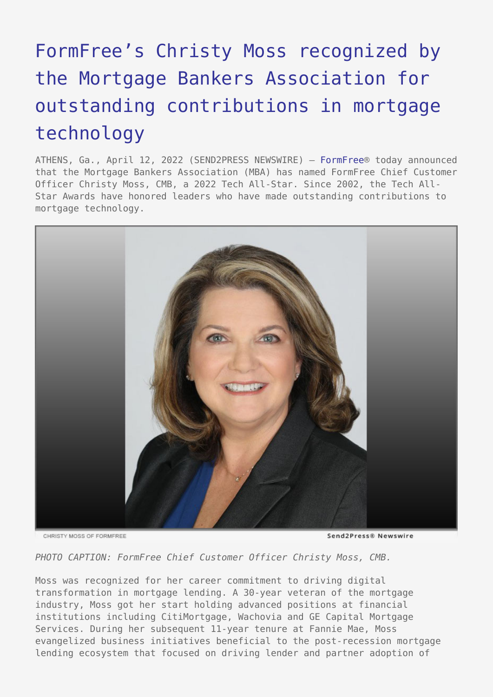## [FormFree's Christy Moss recognized by](https://www.send2press.com/wire/formfrees-christy-moss-recognized-by-the-mortgage-bankers-association-for-outstanding-contributions-in-mortgage-technology/) [the Mortgage Bankers Association for](https://www.send2press.com/wire/formfrees-christy-moss-recognized-by-the-mortgage-bankers-association-for-outstanding-contributions-in-mortgage-technology/) [outstanding contributions in mortgage](https://www.send2press.com/wire/formfrees-christy-moss-recognized-by-the-mortgage-bankers-association-for-outstanding-contributions-in-mortgage-technology/) [technology](https://www.send2press.com/wire/formfrees-christy-moss-recognized-by-the-mortgage-bankers-association-for-outstanding-contributions-in-mortgage-technology/)

ATHENS, Ga., April 12, 2022 (SEND2PRESS NEWSWIRE) — [FormFree®](https://www.formfree.com/) today announced that the Mortgage Bankers Association (MBA) has named FormFree Chief Customer Officer Christy Moss, CMB, a 2022 Tech All-Star. Since 2002, the Tech All-Star Awards have honored leaders who have made outstanding contributions to mortgage technology.



CHRISTY MOSS OF FORMEREE

Send2Press® Newswire

*PHOTO CAPTION: FormFree Chief Customer Officer Christy Moss, CMB.*

Moss was recognized for her career commitment to driving digital transformation in mortgage lending. A 30-year veteran of the mortgage industry, Moss got her start holding advanced positions at financial institutions including CitiMortgage, Wachovia and GE Capital Mortgage Services. During her subsequent 11-year tenure at Fannie Mae, Moss evangelized business initiatives beneficial to the post-recession mortgage lending ecosystem that focused on driving lender and partner adoption of